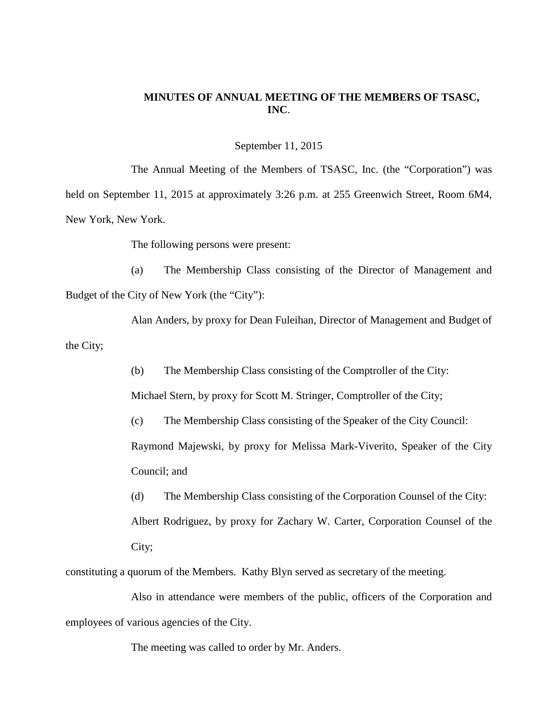## **MINUTES OF ANNUAL MEETING OF THE MEMBERS OF TSASC, INC**.

September 11, 2015

The Annual Meeting of the Members of TSASC, Inc. (the "Corporation") was held on September 11, 2015 at approximately 3:26 p.m. at 255 Greenwich Street, Room 6M4, New York, New York.

The following persons were present:

(a) The Membership Class consisting of the Director of Management and Budget of the City of New York (the "City"):

Alan Anders, by proxy for Dean Fuleihan, Director of Management and Budget of the City;

(b) The Membership Class consisting of the Comptroller of the City:

Michael Stern, by proxy for Scott M. Stringer, Comptroller of the City;

(c) The Membership Class consisting of the Speaker of the City Council:

Raymond Majewski, by proxy for Melissa Mark-Viverito, Speaker of the City Council; and

(d) The Membership Class consisting of the Corporation Counsel of the City: Albert Rodriguez, by proxy for Zachary W. Carter, Corporation Counsel of the City;

constituting a quorum of the Members. Kathy Blyn served as secretary of the meeting.

Also in attendance were members of the public, officers of the Corporation and employees of various agencies of the City.

The meeting was called to order by Mr. Anders.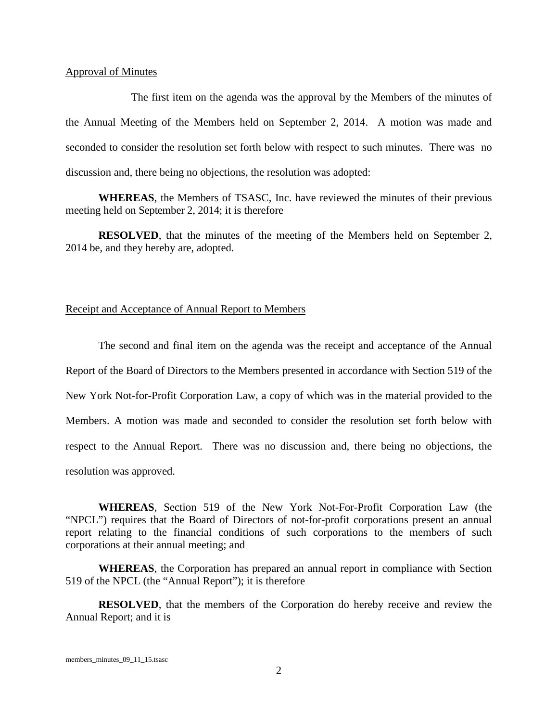## Approval of Minutes

The first item on the agenda was the approval by the Members of the minutes of the Annual Meeting of the Members held on September 2, 2014. A motion was made and seconded to consider the resolution set forth below with respect to such minutes. There was no discussion and, there being no objections, the resolution was adopted:

**WHEREAS**, the Members of TSASC, Inc. have reviewed the minutes of their previous meeting held on September 2, 2014; it is therefore

**RESOLVED**, that the minutes of the meeting of the Members held on September 2, 2014 be, and they hereby are, adopted.

## Receipt and Acceptance of Annual Report to Members

The second and final item on the agenda was the receipt and acceptance of the Annual Report of the Board of Directors to the Members presented in accordance with Section 519 of the New York Not-for-Profit Corporation Law, a copy of which was in the material provided to the Members. A motion was made and seconded to consider the resolution set forth below with respect to the Annual Report. There was no discussion and, there being no objections, the resolution was approved.

**WHEREAS**, Section 519 of the New York Not-For-Profit Corporation Law (the "NPCL") requires that the Board of Directors of not-for-profit corporations present an annual report relating to the financial conditions of such corporations to the members of such corporations at their annual meeting; and

**WHEREAS**, the Corporation has prepared an annual report in compliance with Section 519 of the NPCL (the "Annual Report"); it is therefore

**RESOLVED**, that the members of the Corporation do hereby receive and review the Annual Report; and it is